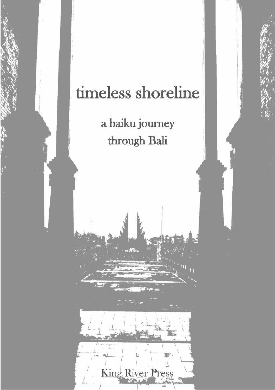# timeless shoreline

a haiku journey through Bali

**King River Press**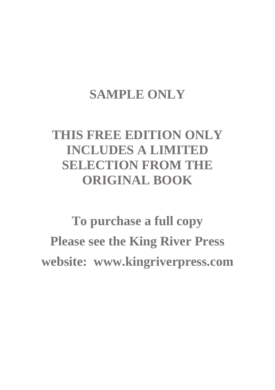## **SAMPLE ONLY**

# **THIS FREE EDITION ONLY INCLUDES A LIMITED SELECTION FROM THE ORIGINAL BOOK**

**To purchase a full copy Please see the King River Press website: www.kingriverpress.com**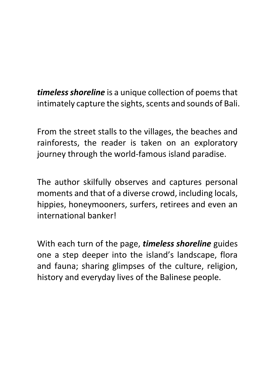*timeless shoreline* is a unique collection of poems that intimately capture the sights, scents and sounds of Bali.

From the street stalls to the villages, the beaches and rainforests, the reader is taken on an exploratory journey through the world-famous island paradise.

The author skilfully observes and captures personal moments and that of a diverse crowd, including locals, hippies, honeymooners, surfers, retirees and even an international banker!

With each turn of the page, *timeless shoreline* guides one a step deeper into the island's landscape, flora and fauna; sharing glimpses of the culture, religion, history and everyday lives of the Balinese people.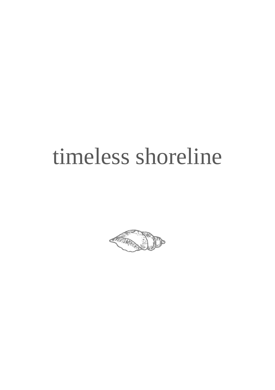# timeless shoreline

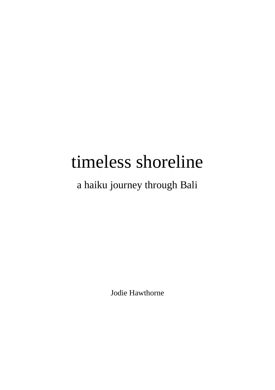# timeless shoreline

## a haiku journey through Bali

Jodie Hawthorne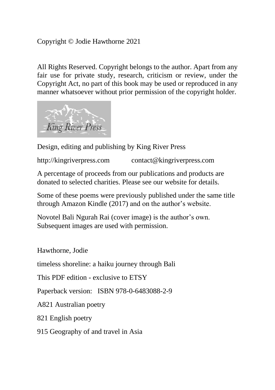Copyright © Jodie Hawthorne 2021

All Rights Reserved. Copyright belongs to the author. Apart from any fair use for private study, research, criticism or review, under the Copyright Act, no part of this book may be used or reproduced in any manner whatsoever without prior permission of the copyright holder.



Design, editing and publishing by King River Press

[http://kingriverpress.com](http://kingriverpress.com/) [contact@kingriverpress.com](mailto:contact@kingriverpress.com)

A percentage of proceeds from our publications and products are donated to selected charities. Please see our website for details.

Some of these poems were previously published under the same title through Amazon Kindle (2017) and on the author's website.

Novotel Bali Ngurah Rai (cover image) is the author's own. Subsequent images are used with permission.

Hawthorne, Jodie timeless shoreline: a haiku journey through Bali This PDF edition - exclusive to ETSY Paperback version: ISBN 978-0-6483088-2-9 A821 Australian poetry 821 English poetry 915 Geography of and travel in Asia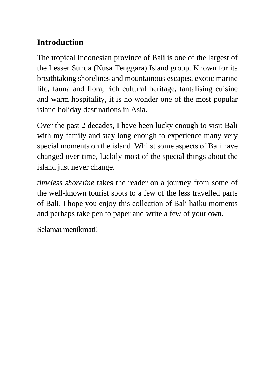#### **Introduction**

The tropical Indonesian province of Bali is one of the largest of the Lesser Sunda (Nusa Tenggara) Island group. Known for its breathtaking shorelines and mountainous escapes, exotic marine life, fauna and flora, rich cultural heritage, tantalising cuisine and warm hospitality, it is no wonder one of the most popular island holiday destinations in Asia.

Over the past 2 decades, I have been lucky enough to visit Bali with my family and stay long enough to experience many very special moments on the island. Whilst some aspects of Bali have changed over time, luckily most of the special things about the island just never change.

*timeless shoreline* takes the reader on a journey from some of the well-known tourist spots to a few of the less travelled parts of Bali. I hope you enjoy this collection of Bali haiku moments and perhaps take pen to paper and write a few of your own.

Selamat menikmati!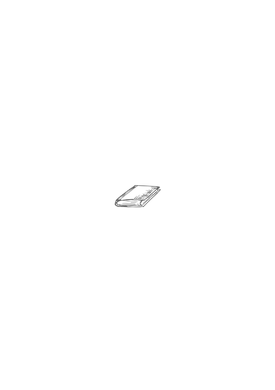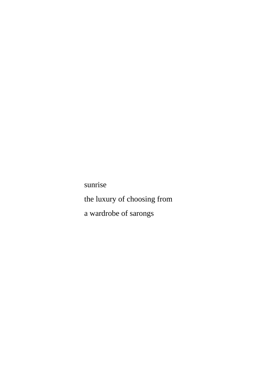sunrise

the luxury of choosing from

a wardrobe of sarongs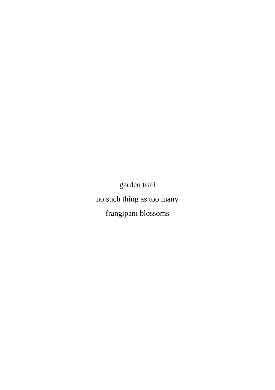garden trail no such thing as too many frangipani blossoms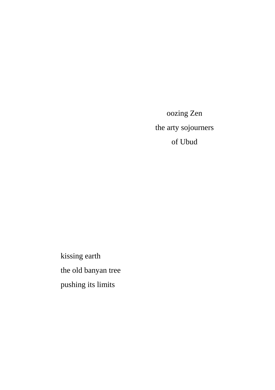oozing Zen the arty sojourners of Ubud

kissing earth the old banyan tree pushing its limits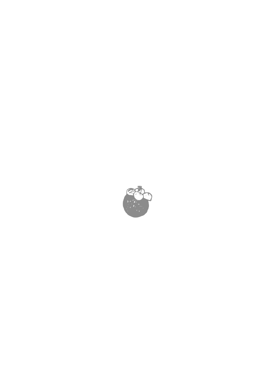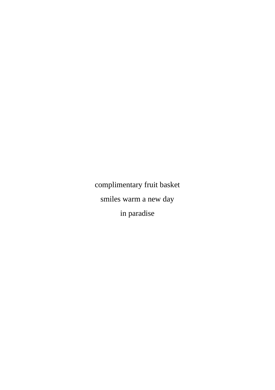complimentary fruit basket smiles warm a new day in paradise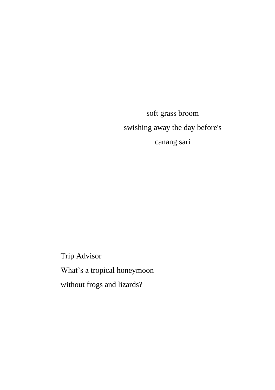soft grass broom swishing away the day before's canang sari

Trip Advisor What's a tropical honeymoon without frogs and lizards?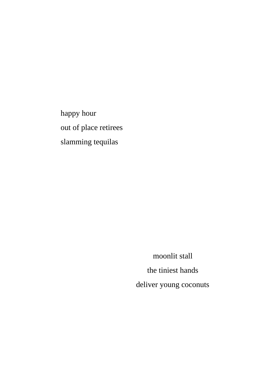happy hour out of place retirees slamming tequilas

> moonlit stall the tiniest hands deliver young coconuts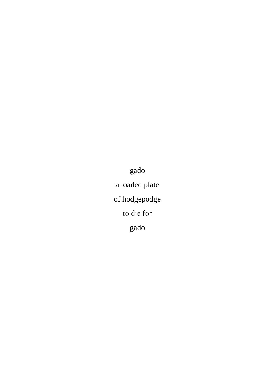gado a loaded plate of hodgepodge to die for gado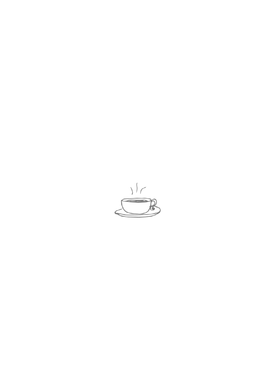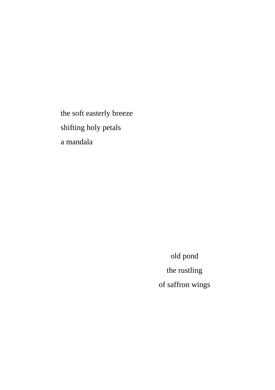the soft easterly breeze shifting holy petals a mandala

> old pond the rustling of saffron wings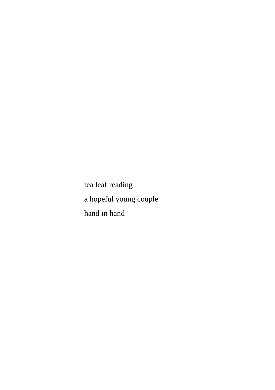tea leaf reading a hopeful young couple hand in hand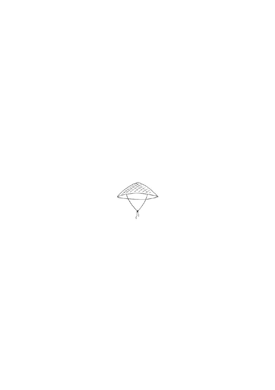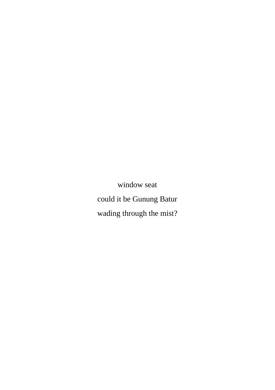window seat could it be Gunung Batur wading through the mist?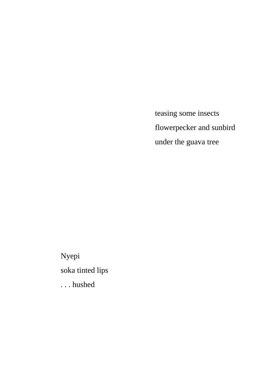teasing some insects flowerpecker and sunbird under the guava tree

Nyepi soka tinted lips . . . hushed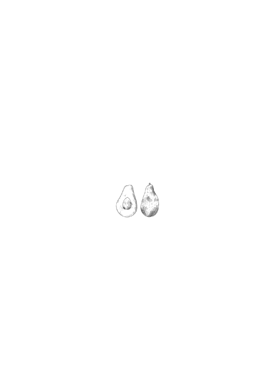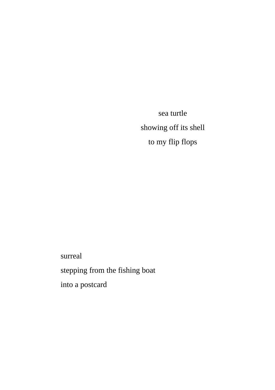sea turtle showing off its shell to my flip flops

surreal stepping from the fishing boat into a postcard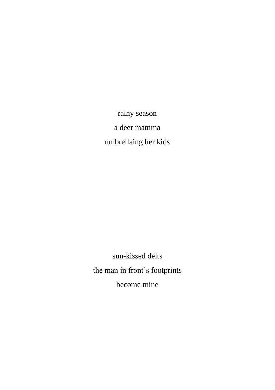rainy season a deer mamma umbrellaing her kids

sun-kissed delts the man in front's footprints become mine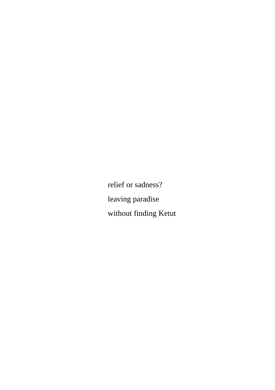relief or sadness? leaving paradise without finding Ketut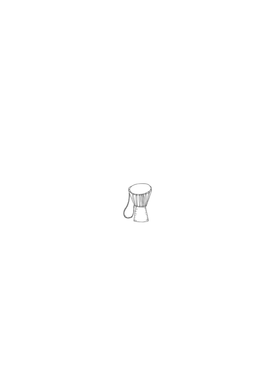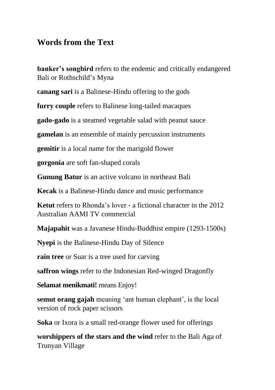#### **Words from the Text**

**banker's songbird** refers to the endemic and critically endangered Bali or Rothschild's Myna

**canang sari** is a Balinese-Hindu offering to the gods

**furry couple** refers to Balinese long-tailed macaques

**gado-gado** is a steamed vegetable salad with peanut sauce

**gamelan** is an ensemble of mainly percussion instruments

**gemitir** is a local name for the marigold flower

**gorgonia** are soft fan-shaped corals

**Gunung Batur** is an active volcano in northeast Bali

**Kecak** is a Balinese-Hindu dance and music performance

**Ketut** refers to Rhonda's lover - a fictional character in the 2012 Australian AAMI TV commercial

**Majapahit** was a Javanese Hindu-Buddhist empire (1293-1500s)

**Nyepi** is the Balinese-Hindu Day of Silence

**rain tree** or Suar is a tree used for carving

**saffron wings** refer to the Indonesian Red-winged Dragonfly

**Selamat menikmati!** means Enjoy!

**semut orang gajah** meaning 'ant human elephant', is the local version of rock paper scissors

**Soka** or Ixora is a small red-orange flower used for offerings

**worshippers of the stars and the wind** refer to the Bali Aga of Trunyan Village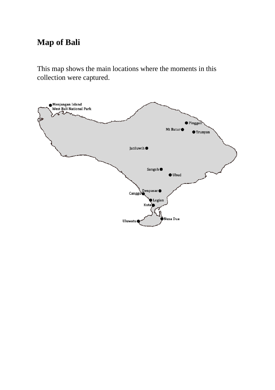### **Map of Bali**

This map shows the main locations where the moments in this collection were captured.